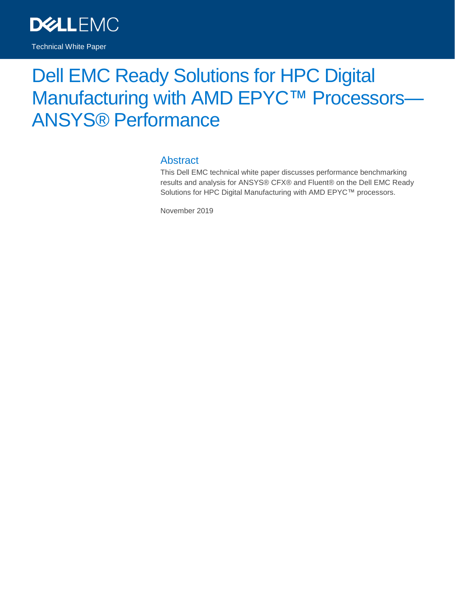

# Dell EMC Ready Solutions for HPC Digital Manufacturing with AMD EPYC™ Processors-ANSYS® Performance

#### **Abstract**

This Dell EMC technical white paper discusses performance benchmarking results and analysis for ANSYS® CFX® and Fluent® on the Dell EMC Ready Solutions for HPC Digital Manufacturing with AMD EPYC™ processors.

November 2019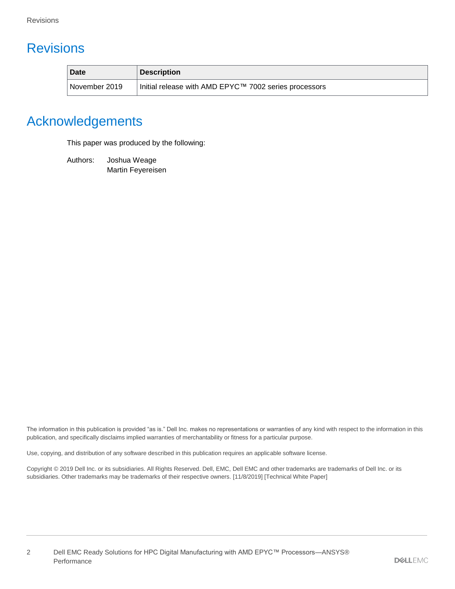# <span id="page-1-0"></span>**Revisions**

| <b>Date</b>     | <b>Description</b>                                    |
|-----------------|-------------------------------------------------------|
| l November 2019 | Initial release with AMD EPYC™ 7002 series processors |

# <span id="page-1-1"></span>Acknowledgements

This paper was produced by the following:

Authors: Joshua Weage Martin Feyereisen

The information in this publication is provided "as is." Dell Inc. makes no representations or warranties of any kind with respect to the information in this publication, and specifically disclaims implied warranties of merchantability or fitness for a particular purpose.

Use, copying, and distribution of any software described in this publication requires an applicable software license.

Copyright © 2019 Dell Inc. or its subsidiaries. All Rights Reserved. Dell, EMC, Dell EMC and other trademarks are trademarks of Dell Inc. or its subsidiaries. Other trademarks may be trademarks of their respective owners. [11/8/2019] [Technical White Paper]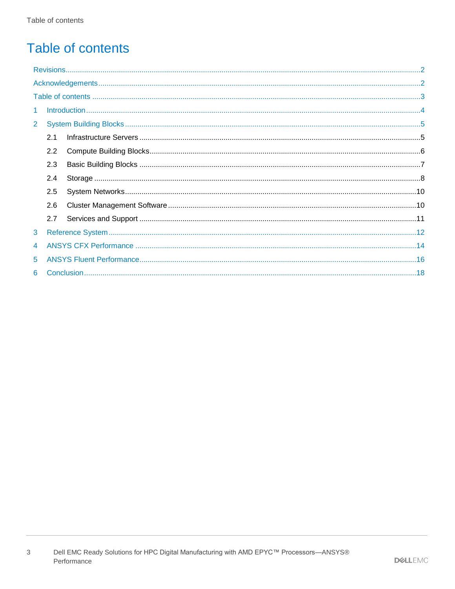# <span id="page-2-0"></span>**Table of contents**

| $\mathbf{1}$   |     |  |  |  |
|----------------|-----|--|--|--|
| $\overline{2}$ |     |  |  |  |
|                | 2.1 |  |  |  |
|                | 2.2 |  |  |  |
|                | 2.3 |  |  |  |
|                | 2.4 |  |  |  |
|                | 2.5 |  |  |  |
|                | 2.6 |  |  |  |
|                | 2.7 |  |  |  |
| 3              |     |  |  |  |
| 4              |     |  |  |  |
| 5              |     |  |  |  |
| 6              |     |  |  |  |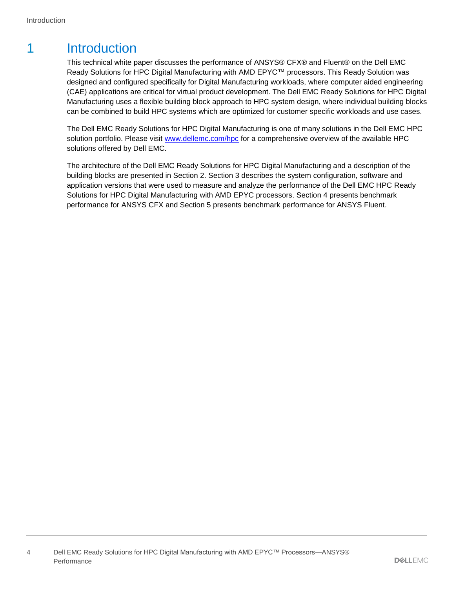### <span id="page-3-0"></span>1 Introduction

This technical white paper discusses the performance of ANSYS® CFX® and Fluent® on the Dell EMC Ready Solutions for HPC Digital Manufacturing with AMD EPYC™ processors. This Ready Solution was designed and configured specifically for Digital Manufacturing workloads, where computer aided engineering (CAE) applications are critical for virtual product development. The Dell EMC Ready Solutions for HPC Digital Manufacturing uses a flexible building block approach to HPC system design, where individual building blocks can be combined to build HPC systems which are optimized for customer specific workloads and use cases.

The Dell EMC Ready Solutions for HPC Digital Manufacturing is one of many solutions in the Dell EMC HPC solution portfolio. Please visit [www.dellemc.com/hpc](http://www.dellemc.com/hpc) for a comprehensive overview of the available HPC solutions offered by Dell EMC.

The architecture of the Dell EMC Ready Solutions for HPC Digital Manufacturing and a description of the building blocks are presented in Section 2. Section 3 describes the system configuration, software and application versions that were used to measure and analyze the performance of the Dell EMC HPC Ready Solutions for HPC Digital Manufacturing with AMD EPYC processors. Section [4](#page-13-0) presents benchmark performance for ANSYS CFX and Section [5](#page-15-0) presents benchmark performance for ANSYS Fluent.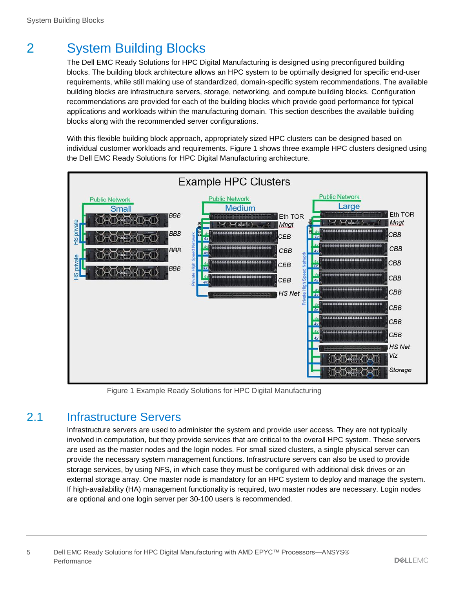# <span id="page-4-0"></span>2 System Building Blocks

The Dell EMC Ready Solutions for HPC Digital Manufacturing is designed using preconfigured building blocks. The building block architecture allows an HPC system to be optimally designed for specific end-user requirements, while still making use of standardized, domain-specific system recommendations. The available building blocks are infrastructure servers, storage, networking, and compute building blocks. Configuration recommendations are provided for each of the building blocks which provide good performance for typical applications and workloads within the manufacturing domain. This section describes the available building blocks along with the recommended server configurations.

With this flexible building block approach, appropriately sized HPC clusters can be designed based on individual customer workloads and requirements. [Figure 1](#page-4-2) shows three example HPC clusters designed using the Dell EMC Ready Solutions for HPC Digital Manufacturing architecture.



Figure 1 Example Ready Solutions for HPC Digital Manufacturing

#### <span id="page-4-2"></span><span id="page-4-1"></span>2.1 Infrastructure Servers

Infrastructure servers are used to administer the system and provide user access. They are not typically involved in computation, but they provide services that are critical to the overall HPC system. These servers are used as the master nodes and the login nodes. For small sized clusters, a single physical server can provide the necessary system management functions. Infrastructure servers can also be used to provide storage services, by using NFS, in which case they must be configured with additional disk drives or an external storage array. One master node is mandatory for an HPC system to deploy and manage the system. If high-availability (HA) management functionality is required, two master nodes are necessary. Login nodes are optional and one login server per 30-100 users is recommended.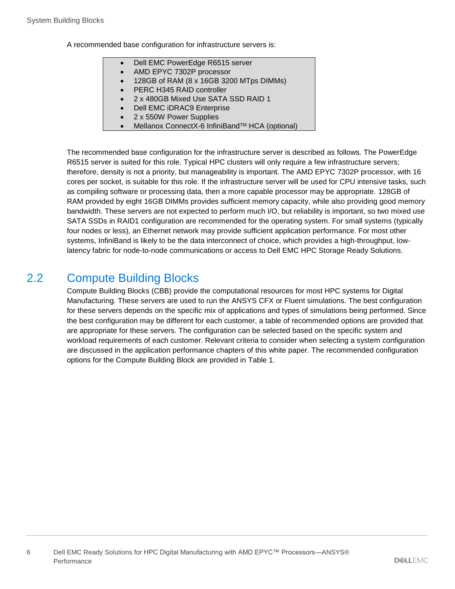A recommended base configuration for infrastructure servers is:

- Dell EMC PowerEdge R6515 server
- AMD EPYC 7302P processor
- 128GB of RAM (8 x 16GB 3200 MTps DIMMs)
- PERC H345 RAID controller
- 2 x 480GB Mixed Use SATA SSD RAID 1
- Dell EMC iDRAC9 Enterprise
- 2 x 550W Power Supplies
- Mellanox ConnectX-6 InfiniBand™ HCA (optional)

The recommended base configuration for the infrastructure server is described as follows. The PowerEdge R6515 server is suited for this role. Typical HPC clusters will only require a few infrastructure servers; therefore, density is not a priority, but manageability is important. The AMD EPYC 7302P processor, with 16 cores per socket, is suitable for this role. If the infrastructure server will be used for CPU intensive tasks, such as compiling software or processing data, then a more capable processor may be appropriate. 128GB of RAM provided by eight 16GB DIMMs provides sufficient memory capacity, while also providing good memory bandwidth. These servers are not expected to perform much I/O, but reliability is important, so two mixed use SATA SSDs in RAID1 configuration are recommended for the operating system. For small systems (typically four nodes or less), an Ethernet network may provide sufficient application performance. For most other systems, InfiniBand is likely to be the data interconnect of choice, which provides a high-throughput, lowlatency fabric for node-to-node communications or access to Dell EMC HPC Storage Ready Solutions.

#### <span id="page-5-0"></span>2.2 Compute Building Blocks

Compute Building Blocks (CBB) provide the computational resources for most HPC systems for Digital Manufacturing. These servers are used to run the ANSYS CFX or Fluent simulations. The best configuration for these servers depends on the specific mix of applications and types of simulations being performed. Since the best configuration may be different for each customer, a table of recommended options are provided that are appropriate for these servers. The configuration can be selected based on the specific system and workload requirements of each customer. Relevant criteria to consider when selecting a system configuration are discussed in the application performance chapters of this white paper. The recommended configuration options for the Compute Building Block are provided in [Table 1.](#page-6-1)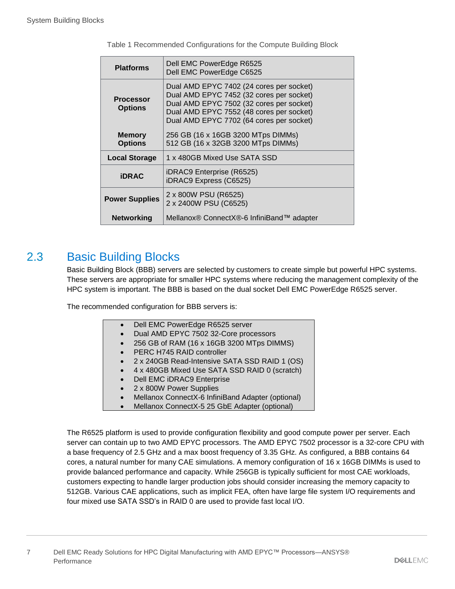<span id="page-6-1"></span>

| <b>Platforms</b>                                                       | Dell EMC PowerEdge R6525<br>Dell EMC PowerEdge C6525                                                                                                                                                                     |  |
|------------------------------------------------------------------------|--------------------------------------------------------------------------------------------------------------------------------------------------------------------------------------------------------------------------|--|
| <b>Processor</b><br><b>Options</b>                                     | Dual AMD EPYC 7402 (24 cores per socket)<br>Dual AMD EPYC 7452 (32 cores per socket)<br>Dual AMD EPYC 7502 (32 cores per socket)<br>Dual AMD EPYC 7552 (48 cores per socket)<br>Dual AMD EPYC 7702 (64 cores per socket) |  |
| <b>Memory</b><br><b>Options</b>                                        | 256 GB (16 x 16GB 3200 MTps DIMMs)<br>512 GB (16 x 32GB 3200 MTps DIMMs)                                                                                                                                                 |  |
| <b>Local Storage</b>                                                   | 1 x 480GB Mixed Use SATA SSD                                                                                                                                                                                             |  |
| <b>iDRAC</b>                                                           | iDRAC9 Enterprise (R6525)<br>iDRAC9 Express (C6525)                                                                                                                                                                      |  |
| 2 x 800W PSU (R6525)<br><b>Power Supplies</b><br>2 x 2400W PSU (C6525) |                                                                                                                                                                                                                          |  |
| <b>Networking</b>                                                      | Mellanox® ConnectX®-6 InfiniBand™ adapter                                                                                                                                                                                |  |

Table 1 Recommended Configurations for the Compute Building Block

#### <span id="page-6-0"></span>2.3 Basic Building Blocks

Basic Building Block (BBB) servers are selected by customers to create simple but powerful HPC systems. These servers are appropriate for smaller HPC systems where reducing the management complexity of the HPC system is important. The BBB is based on the dual socket Dell EMC PowerEdge R6525 server.

The recommended configuration for BBB servers is:

| Dell EMC PowerEdge R6525 server |
|---------------------------------|
|---------------------------------|

- Dual AMD EPYC 7502 32-Core processors
- 256 GB of RAM (16 x 16GB 3200 MTps DIMMS)
- PERC H745 RAID controller
- 2 x 240GB Read-Intensive SATA SSD RAID 1 (OS)
- 4 x 480GB Mixed Use SATA SSD RAID 0 (scratch)
- Dell EMC iDRAC9 Enterprise
- 2 x 800W Power Supplies
- Mellanox ConnectX-6 InfiniBand Adapter (optional)
- Mellanox ConnectX-5 25 GbE Adapter (optional)

The R6525 platform is used to provide configuration flexibility and good compute power per server. Each server can contain up to two AMD EPYC processors. The AMD EPYC 7502 processor is a 32-core CPU with a base frequency of 2.5 GHz and a max boost frequency of 3.35 GHz. As configured, a BBB contains 64 cores, a natural number for many CAE simulations. A memory configuration of 16 x 16GB DIMMs is used to provide balanced performance and capacity. While 256GB is typically sufficient for most CAE workloads, customers expecting to handle larger production jobs should consider increasing the memory capacity to 512GB. Various CAE applications, such as implicit FEA, often have large file system I/O requirements and four mixed use SATA SSD's in RAID 0 are used to provide fast local I/O.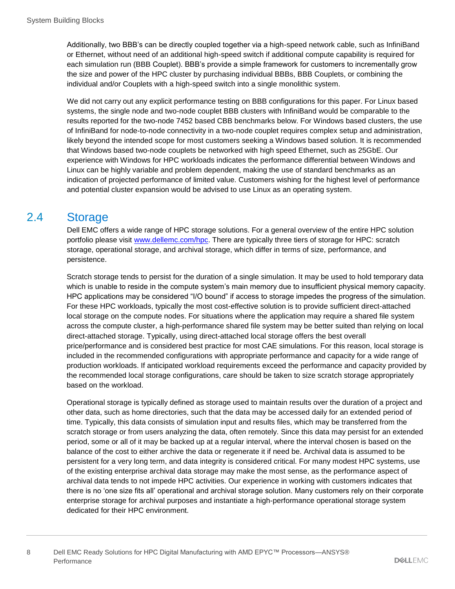Additionally, two BBB's can be directly coupled together via a high-speed network cable, such as InfiniBand or Ethernet, without need of an additional high-speed switch if additional compute capability is required for each simulation run (BBB Couplet). BBB's provide a simple framework for customers to incrementally grow the size and power of the HPC cluster by purchasing individual BBBs, BBB Couplets, or combining the individual and/or Couplets with a high-speed switch into a single monolithic system.

We did not carry out any explicit performance testing on BBB configurations for this paper. For Linux based systems, the single node and two-node couplet BBB clusters with InfiniBand would be comparable to the results reported for the two-node 7452 based CBB benchmarks below. For Windows based clusters, the use of InfiniBand for node-to-node connectivity in a two-node couplet requires complex setup and administration, likely beyond the intended scope for most customers seeking a Windows based solution. It is recommended that Windows based two-node couplets be networked with high speed Ethernet, such as 25GbE. Our experience with Windows for HPC workloads indicates the performance differential between Windows and Linux can be highly variable and problem dependent, making the use of standard benchmarks as an indication of projected performance of limited value. Customers wishing for the highest level of performance and potential cluster expansion would be advised to use Linux as an operating system.

#### <span id="page-7-0"></span>2.4 Storage

Dell EMC offers a wide range of HPC storage solutions. For a general overview of the entire HPC solution portfolio please visit [www.dellemc.com/hpc.](http://www.dellemc.com/hpc) There are typically three tiers of storage for HPC: scratch storage, operational storage, and archival storage, which differ in terms of size, performance, and persistence.

Scratch storage tends to persist for the duration of a single simulation. It may be used to hold temporary data which is unable to reside in the compute system's main memory due to insufficient physical memory capacity. HPC applications may be considered "I/O bound" if access to storage impedes the progress of the simulation. For these HPC workloads, typically the most cost-effective solution is to provide sufficient direct-attached local storage on the compute nodes. For situations where the application may require a shared file system across the compute cluster, a high-performance shared file system may be better suited than relying on local direct-attached storage. Typically, using direct-attached local storage offers the best overall price/performance and is considered best practice for most CAE simulations. For this reason, local storage is included in the recommended configurations with appropriate performance and capacity for a wide range of production workloads. If anticipated workload requirements exceed the performance and capacity provided by the recommended local storage configurations, care should be taken to size scratch storage appropriately based on the workload.

Operational storage is typically defined as storage used to maintain results over the duration of a project and other data, such as home directories, such that the data may be accessed daily for an extended period of time. Typically, this data consists of simulation input and results files, which may be transferred from the scratch storage or from users analyzing the data, often remotely. Since this data may persist for an extended period, some or all of it may be backed up at a regular interval, where the interval chosen is based on the balance of the cost to either archive the data or regenerate it if need be. Archival data is assumed to be persistent for a very long term, and data integrity is considered critical. For many modest HPC systems, use of the existing enterprise archival data storage may make the most sense, as the performance aspect of archival data tends to not impede HPC activities. Our experience in working with customers indicates that there is no 'one size fits all' operational and archival storage solution. Many customers rely on their corporate enterprise storage for archival purposes and instantiate a high-performance operational storage system dedicated for their HPC environment.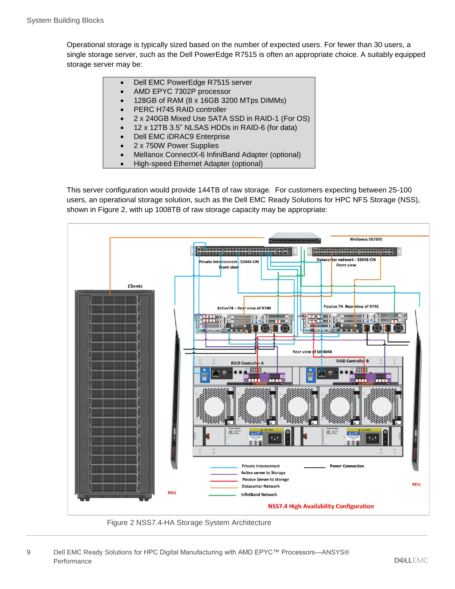Operational storage is typically sized based on the number of expected users. For fewer than 30 users, a single storage server, such as the Dell PowerEdge R7515 is often an appropriate choice. A suitably equipped storage server may be:

- Dell EMC PowerEdge R7515 server
- AMD EPYC 7302P processor
- 128GB of RAM (8 x 16GB 3200 MTps DIMMs)
- PERC H745 RAID controller
- 2 x 240GB Mixed Use SATA SSD in RAID-1 (For OS)
- 12 x 12TB 3.5" NLSAS HDDs in RAID-6 (for data)
- Dell EMC iDRAC9 Enterprise
- 2 x 750W Power Supplies
- Mellanox ConnectX-6 InfiniBand Adapter (optional)
- High-speed Ethernet Adapter (optional)

This server configuration would provide 144TB of raw storage. For customers expecting between 25-100 users, an operational storage solution, such as the Dell EMC Ready Solutions for HPC NFS Storage (NSS), shown in [Figure 2,](#page-8-0) with up 1008TB of raw storage capacity may be appropriate:



<span id="page-8-0"></span>Figure 2 NSS7.4-HA Storage System Architecture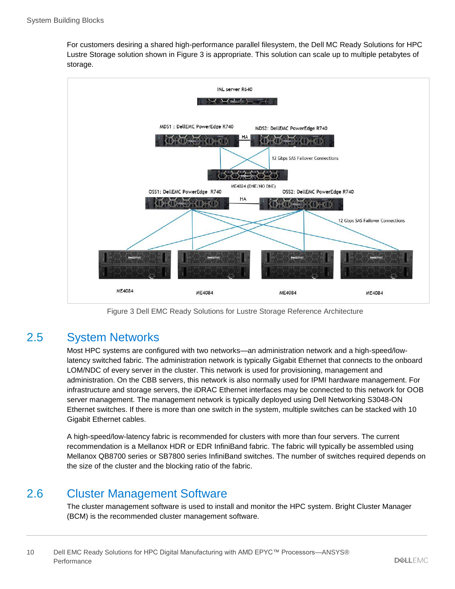For customers desiring a shared high-performance parallel filesystem, the Dell MC Ready Solutions for HPC Lustre Storage solution shown in [Figure 3](#page-9-2) is appropriate. This solution can scale up to multiple petabytes of storage.



Figure 3 Dell EMC Ready Solutions for Lustre Storage Reference Architecture

#### <span id="page-9-2"></span><span id="page-9-0"></span>2.5 System Networks

Most HPC systems are configured with two networks—an administration network and a high-speed/lowlatency switched fabric. The administration network is typically Gigabit Ethernet that connects to the onboard LOM/NDC of every server in the cluster. This network is used for provisioning, management and administration. On the CBB servers, this network is also normally used for IPMI hardware management. For infrastructure and storage servers, the iDRAC Ethernet interfaces may be connected to this network for OOB server management. The management network is typically deployed using Dell Networking S3048-ON Ethernet switches. If there is more than one switch in the system, multiple switches can be stacked with 10 Gigabit Ethernet cables.

A high-speed/low-latency fabric is recommended for clusters with more than four servers. The current recommendation is a Mellanox HDR or EDR InfiniBand fabric. The fabric will typically be assembled using Mellanox QB8700 series or SB7800 series InfiniBand switches. The number of switches required depends on the size of the cluster and the blocking ratio of the fabric.

#### <span id="page-9-1"></span>2.6 Cluster Management Software

The cluster management software is used to install and monitor the HPC system. Bright Cluster Manager (BCM) is the recommended cluster management software.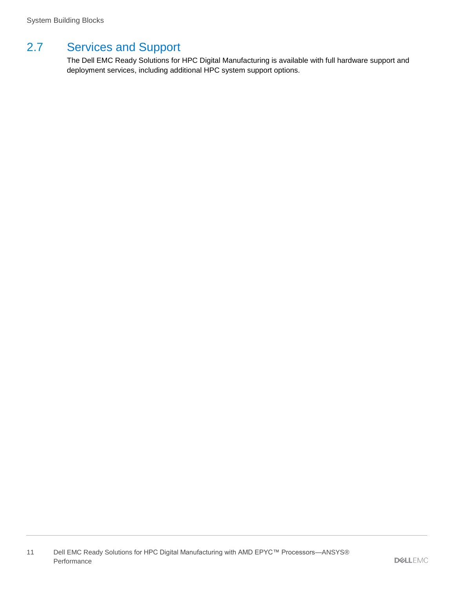### <span id="page-10-0"></span>2.7 Services and Support

The Dell EMC Ready Solutions for HPC Digital Manufacturing is available with full hardware support and deployment services, including additional HPC system support options.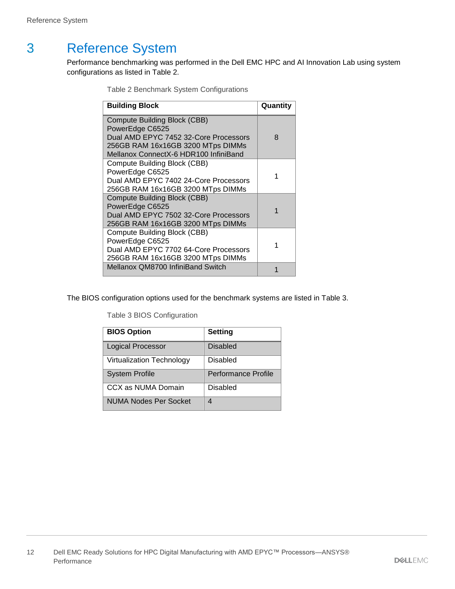## <span id="page-11-1"></span><span id="page-11-0"></span>3 Reference System

Performance benchmarking was performed in the Dell EMC HPC and AI Innovation Lab using system configurations as listed in [Table 2.](#page-11-1)

Table 2 Benchmark System Configurations

| <b>Building Block</b>                                                                                                                                                  | Quantity |
|------------------------------------------------------------------------------------------------------------------------------------------------------------------------|----------|
| Compute Building Block (CBB)<br>PowerEdge C6525<br>Dual AMD EPYC 7452 32-Core Processors<br>256GB RAM 16x16GB 3200 MTps DIMMs<br>Mellanox ConnectX-6 HDR100 InfiniBand | 8        |
| <b>Compute Building Block (CBB)</b><br>PowerEdge C6525<br>Dual AMD EPYC 7402 24-Core Processors<br>256GB RAM 16x16GB 3200 MTps DIMMs                                   |          |
| <b>Compute Building Block (CBB)</b><br>PowerEdge C6525<br>Dual AMD EPYC 7502 32-Core Processors<br>256GB RAM 16x16GB 3200 MTps DIMMs                                   |          |
| <b>Compute Building Block (CBB)</b><br>PowerEdge C6525<br>Dual AMD EPYC 7702 64-Core Processors<br>256GB RAM 16x16GB 3200 MTps DIMMs                                   |          |
| Mellanox QM8700 InfiniBand Switch                                                                                                                                      |          |

<span id="page-11-2"></span>The BIOS configuration options used for the benchmark systems are listed in [Table 3.](#page-11-2)

Table 3 BIOS Configuration

| <b>BIOS Option</b>               | <b>Setting</b>      |
|----------------------------------|---------------------|
| <b>Logical Processor</b>         | <b>Disabled</b>     |
| <b>Virtualization Technology</b> | Disabled            |
| <b>System Profile</b>            | Performance Profile |
| CCX as NUMA Domain               | Disabled            |
| NUMA Nodes Per Socket            |                     |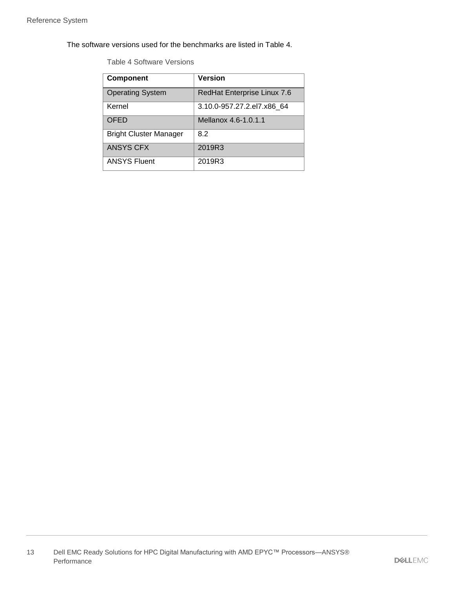<span id="page-12-0"></span>The software versions used for the benchmarks are listed in [Table 4.](#page-12-0)

Table 4 Software Versions

| <b>Component</b>              | <b>Version</b>              |
|-------------------------------|-----------------------------|
| <b>Operating System</b>       | RedHat Enterprise Linux 7.6 |
| Kernel                        | 3.10.0-957.27.2.el7.x86 64  |
| OFED                          | Mellanox 4.6-1.0.1.1        |
| <b>Bright Cluster Manager</b> | 8.2                         |
| <b>ANSYS CFX</b>              | 2019R3                      |
| <b>ANSYS Fluent</b>           | 2019R3                      |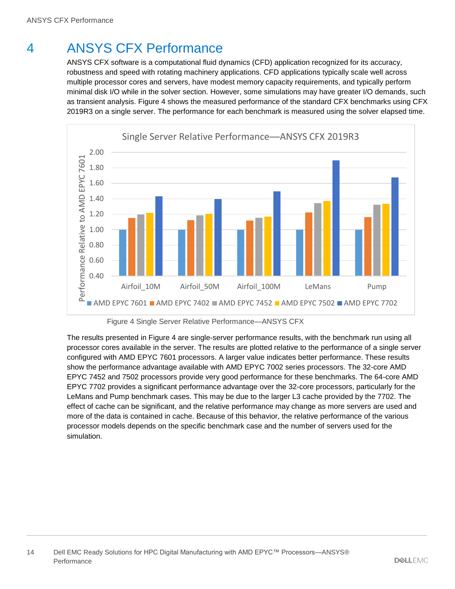# <span id="page-13-0"></span>4 ANSYS CFX Performance

ANSYS CFX software is a computational fluid dynamics (CFD) application recognized for its accuracy, robustness and speed with rotating machinery applications. CFD applications typically scale well across multiple processor cores and servers, have modest memory capacity requirements, and typically perform minimal disk I/O while in the solver section. However, some simulations may have greater I/O demands, such as transient analysis. [Figure 4](#page-13-1) shows the measured performance of the standard CFX benchmarks using CFX 2019R3 on a single server. The performance for each benchmark is measured using the solver elapsed time.



Figure 4 Single Server Relative Performance—ANSYS CFX

<span id="page-13-1"></span>The results presented in [Figure 4](#page-13-1) are single-server performance results, with the benchmark run using all processor cores available in the server. The results are plotted relative to the performance of a single server configured with AMD EPYC 7601 processors. A larger value indicates better performance. These results show the performance advantage available with AMD EPYC 7002 series processors. The 32-core AMD EPYC 7452 and 7502 processors provide very good performance for these benchmarks. The 64-core AMD EPYC 7702 provides a significant performance advantage over the 32-core processors, particularly for the LeMans and Pump benchmark cases. This may be due to the larger L3 cache provided by the 7702. The effect of cache can be significant, and the relative performance may change as more servers are used and more of the data is contained in cache. Because of this behavior, the relative performance of the various processor models depends on the specific benchmark case and the number of servers used for the simulation.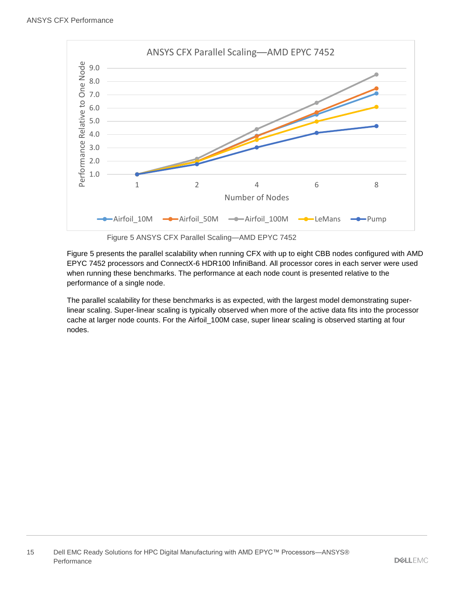

Figure 5 ANSYS CFX Parallel Scaling—AMD EPYC 7452

<span id="page-14-0"></span>[Figure 5](#page-14-0) presents the parallel scalability when running CFX with up to eight CBB nodes configured with AMD EPYC 7452 processors and ConnectX-6 HDR100 InfiniBand. All processor cores in each server were used when running these benchmarks. The performance at each node count is presented relative to the performance of a single node.

The parallel scalability for these benchmarks is as expected, with the largest model demonstrating superlinear scaling. Super-linear scaling is typically observed when more of the active data fits into the processor cache at larger node counts. For the Airfoil 100M case, super linear scaling is observed starting at four nodes.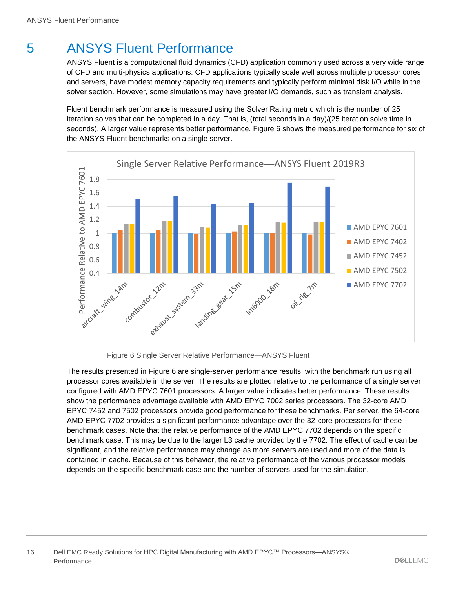# <span id="page-15-0"></span>5 ANSYS Fluent Performance

ANSYS Fluent is a computational fluid dynamics (CFD) application commonly used across a very wide range of CFD and multi-physics applications. CFD applications typically scale well across multiple processor cores and servers, have modest memory capacity requirements and typically perform minimal disk I/O while in the solver section. However, some simulations may have greater I/O demands, such as transient analysis.

Fluent benchmark performance is measured using the Solver Rating metric which is the number of 25 iteration solves that can be completed in a day. That is, (total seconds in a day)/(25 iteration solve time in seconds). A larger value represents better performance. [Figure 6](#page-15-1) shows the measured performance for six of the ANSYS Fluent benchmarks on a single server.



Figure 6 Single Server Relative Performance—ANSYS Fluent

<span id="page-15-1"></span>The results presented in [Figure 6](#page-15-1) are single-server performance results, with the benchmark run using all processor cores available in the server. The results are plotted relative to the performance of a single server configured with AMD EPYC 7601 processors. A larger value indicates better performance. These results show the performance advantage available with AMD EPYC 7002 series processors. The 32-core AMD EPYC 7452 and 7502 processors provide good performance for these benchmarks. Per server, the 64-core AMD EPYC 7702 provides a significant performance advantage over the 32-core processors for these benchmark cases. Note that the relative performance of the AMD EPYC 7702 depends on the specific benchmark case. This may be due to the larger L3 cache provided by the 7702. The effect of cache can be significant, and the relative performance may change as more servers are used and more of the data is contained in cache. Because of this behavior, the relative performance of the various processor models depends on the specific benchmark case and the number of servers used for the simulation.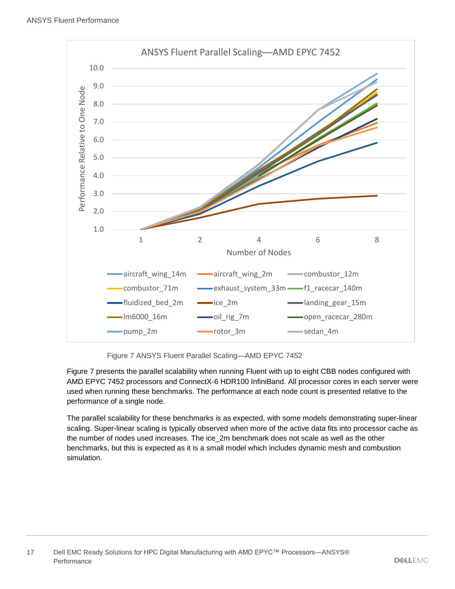

Figure 7 ANSYS Fluent Parallel Scaling—AMD EPYC 7452

<span id="page-16-0"></span>[Figure 7](#page-16-0) presents the parallel scalability when running Fluent with up to eight CBB nodes configured with AMD EPYC 7452 processors and ConnectX-6 HDR100 InfiniBand. All processor cores in each server were used when running these benchmarks. The performance at each node count is presented relative to the performance of a single node.

The parallel scalability for these benchmarks is as expected, with some models demonstrating super-linear scaling. Super-linear scaling is typically observed when more of the active data fits into processor cache as the number of nodes used increases. The ice\_2m benchmark does not scale as well as the other benchmarks, but this is expected as it is a small model which includes dynamic mesh and combustion simulation.